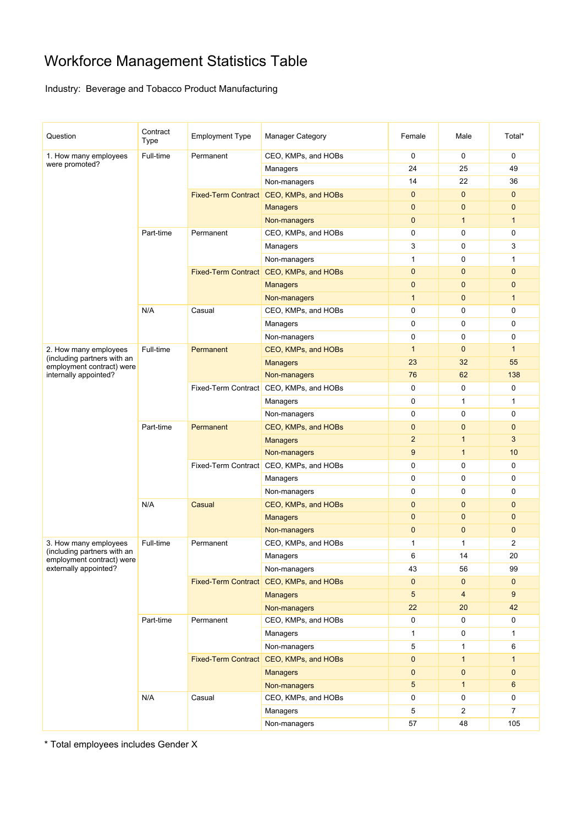# Workforce Management Statistics Table

## Industry: Beverage and Tobacco Product Manufacturing

| Question                                                                          | Contract<br>Type | <b>Employment Type</b> | <b>Manager Category</b>                 | Female         | Male           | Total*         |
|-----------------------------------------------------------------------------------|------------------|------------------------|-----------------------------------------|----------------|----------------|----------------|
| 1. How many employees                                                             | Full-time        | Permanent              | CEO, KMPs, and HOBs                     | 0              | 0              | 0              |
| were promoted?                                                                    |                  |                        | Managers                                | 24             | 25             | 49             |
|                                                                                   |                  |                        | Non-managers                            | 14             | 22             | 36             |
|                                                                                   |                  |                        | Fixed-Term Contract CEO, KMPs, and HOBs | $\mathbf{0}$   | $\mathbf 0$    | $\mathbf{0}$   |
|                                                                                   |                  |                        | <b>Managers</b>                         | $\mathbf{0}$   | $\mathbf 0$    | 0              |
|                                                                                   |                  |                        | Non-managers                            | $\mathbf{0}$   | $\mathbf{1}$   | $\mathbf{1}$   |
|                                                                                   | Part-time        | Permanent              | CEO, KMPs, and HOBs                     | $\mathbf 0$    | 0              | 0              |
|                                                                                   |                  |                        | Managers                                | 3              | 0              | 3              |
|                                                                                   |                  |                        | Non-managers                            | 1              | 0              | 1              |
|                                                                                   |                  |                        | Fixed-Term Contract CEO, KMPs, and HOBs | $\mathbf{0}$   | $\mathbf 0$    | 0              |
|                                                                                   |                  |                        | <b>Managers</b>                         | $\mathbf 0$    | $\mathbf 0$    | 0              |
|                                                                                   |                  |                        | Non-managers                            | $\mathbf{1}$   | 0              | $\mathbf{1}$   |
|                                                                                   | N/A              | Casual                 | CEO, KMPs, and HOBs                     | 0              | 0              | 0              |
|                                                                                   |                  |                        | Managers                                | 0              | $\pmb{0}$      | 0              |
|                                                                                   |                  |                        | Non-managers                            | $\mathbf 0$    | $\pmb{0}$      | 0              |
| 2. How many employees                                                             | Full-time        | Permanent              | CEO, KMPs, and HOBs                     | $\mathbf{1}$   | $\mathbf 0$    | $\mathbf{1}$   |
| (including partners with an<br>employment contract) were                          |                  |                        | <b>Managers</b>                         | 23             | 32             | 55             |
| internally appointed?                                                             |                  |                        | Non-managers                            | 76             | 62             | 138            |
|                                                                                   |                  |                        | Fixed-Term Contract CEO, KMPs, and HOBs | 0              | 0              | 0              |
|                                                                                   |                  |                        | Managers                                | 0              | 1              | 1              |
|                                                                                   |                  |                        | Non-managers                            | 0              | 0              | 0              |
|                                                                                   | Part-time        | Permanent              | CEO, KMPs, and HOBs                     | $\mathbf{0}$   | 0              | $\mathbf 0$    |
|                                                                                   |                  |                        | <b>Managers</b>                         | $\overline{2}$ | $\mathbf{1}$   | 3              |
|                                                                                   |                  |                        | Non-managers                            | 9              | $\mathbf{1}$   | 10             |
|                                                                                   |                  |                        | Fixed-Term Contract CEO, KMPs, and HOBs | $\mathbf 0$    | 0              | 0              |
|                                                                                   |                  |                        | Managers                                | 0              | 0              | 0              |
|                                                                                   |                  |                        | Non-managers                            | $\mathbf 0$    | 0              | 0              |
|                                                                                   | N/A              | Casual                 | CEO, KMPs, and HOBs                     | $\mathbf{0}$   | $\mathbf 0$    | 0              |
|                                                                                   |                  |                        | <b>Managers</b>                         | $\mathbf{0}$   | $\mathbf 0$    | $\mathbf{0}$   |
|                                                                                   |                  |                        | Non-managers                            | $\mathbf 0$    | $\mathbf 0$    | $\mathbf 0$    |
| 3. How many employees                                                             | Full-time        | Permanent              | CEO, KMPs, and HOBs                     | 1              | 1              | 2              |
| (including partners with an<br>employment contract) were<br>externally appointed? |                  |                        | Managers                                | 6              | 14             | 20             |
|                                                                                   |                  |                        | Non-managers                            | 43             | 56             | 99             |
|                                                                                   |                  |                        | Fixed-Term Contract CEO, KMPs, and HOBs | $\mathbf{0}$   | $\mathbf 0$    | $\mathbf{0}$   |
|                                                                                   |                  |                        | <b>Managers</b>                         | $\sqrt{5}$     | $\overline{4}$ | 9              |
|                                                                                   |                  |                        | Non-managers                            | 22             | 20             | 42             |
|                                                                                   | Part-time        | Permanent              | CEO, KMPs, and HOBs                     | $\mathbf 0$    | $\mathsf 0$    | 0              |
|                                                                                   |                  |                        | Managers                                | $\mathbf{1}$   | 0              | 1              |
|                                                                                   |                  |                        | Non-managers                            | 5              | 1              | 6              |
|                                                                                   |                  |                        | Fixed-Term Contract CEO, KMPs, and HOBs | $\pmb{0}$      | $\mathbf{1}$   | $\mathbf{1}$   |
|                                                                                   |                  |                        | <b>Managers</b>                         | $\pmb{0}$      | $\pmb{0}$      | $\mathbf 0$    |
|                                                                                   |                  |                        | Non-managers                            | $\sqrt{5}$     | $\mathbf{1}$   | 6              |
|                                                                                   | N/A              | Casual                 | CEO, KMPs, and HOBs                     | 0              | 0              | 0              |
|                                                                                   |                  |                        | Managers                                | 5              | $\overline{2}$ | $\overline{7}$ |
|                                                                                   |                  |                        | Non-managers                            | 57             | 48             | 105            |

\* Total employees includes Gender X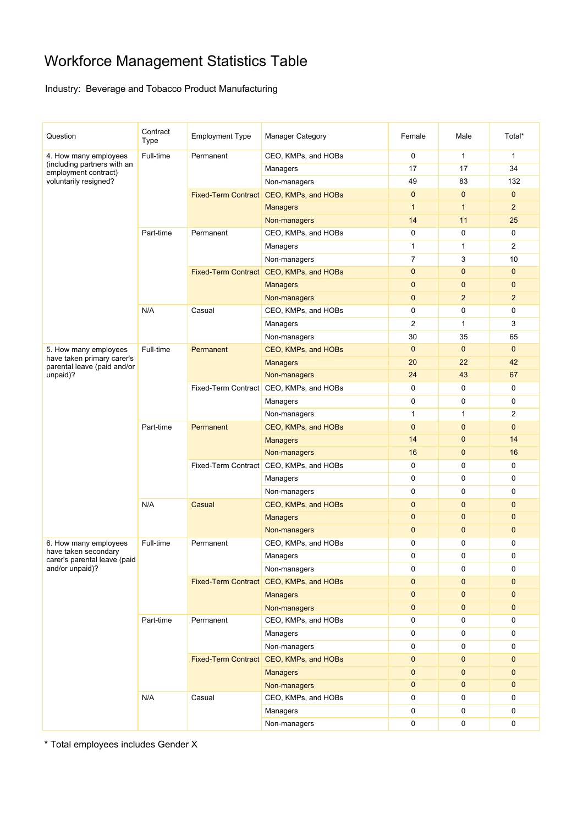# Workforce Management Statistics Table

## Industry: Beverage and Tobacco Product Manufacturing

| Question                                                  | Contract<br>Type | <b>Employment Type</b> | <b>Manager Category</b>                 | Female         | Male           | Total*                  |
|-----------------------------------------------------------|------------------|------------------------|-----------------------------------------|----------------|----------------|-------------------------|
| 4. How many employees                                     | Full-time        | Permanent              | CEO, KMPs, and HOBs                     | $\mathbf 0$    | 1              | $\mathbf{1}$            |
| (including partners with an<br>employment contract)       |                  |                        | Managers                                | 17             | 17             | 34                      |
| voluntarily resigned?                                     |                  |                        | Non-managers                            | 49             | 83             | 132                     |
|                                                           |                  |                        | Fixed-Term Contract CEO, KMPs, and HOBs | $\mathbf{0}$   | $\mathbf{0}$   | $\mathbf{0}$            |
|                                                           |                  |                        | <b>Managers</b>                         | $\mathbf{1}$   | $\mathbf{1}$   | $\overline{2}$          |
|                                                           |                  |                        | Non-managers                            | 14             | 11             | 25                      |
|                                                           | Part-time        | Permanent              | CEO, KMPs, and HOBs                     | $\mathbf 0$    | 0              | 0                       |
|                                                           |                  |                        | Managers                                | $\mathbf{1}$   | 1              | $\overline{2}$          |
|                                                           |                  |                        | Non-managers                            | $\overline{7}$ | 3              | 10                      |
|                                                           |                  |                        | Fixed-Term Contract CEO, KMPs, and HOBs | $\mathbf{0}$   | $\mathbf 0$    | 0                       |
|                                                           |                  |                        | <b>Managers</b>                         | $\mathbf{0}$   | $\mathbf 0$    | 0                       |
|                                                           |                  |                        | Non-managers                            | $\mathbf{0}$   | $\overline{2}$ | $\overline{\mathbf{c}}$ |
|                                                           | N/A              | Casual                 | CEO, KMPs, and HOBs                     | $\mathbf 0$    | 0              | $\mathbf 0$             |
|                                                           |                  |                        | Managers                                | $\overline{2}$ | $\mathbf{1}$   | 3                       |
|                                                           |                  |                        | Non-managers                            | 30             | 35             | 65                      |
| 5. How many employees                                     | Full-time        | Permanent              | CEO, KMPs, and HOBs                     | $\mathbf{0}$   | $\mathbf 0$    | $\mathbf{0}$            |
| have taken primary carer's<br>parental leave (paid and/or |                  |                        | <b>Managers</b>                         | 20             | 22             | 42                      |
| unpaid)?                                                  |                  |                        | Non-managers                            | 24             | 43             | 67                      |
|                                                           |                  |                        | Fixed-Term Contract CEO, KMPs, and HOBs | $\mathbf 0$    | 0              | 0                       |
|                                                           |                  |                        | Managers                                | $\mathbf 0$    | $\pmb{0}$      | 0                       |
|                                                           |                  |                        | Non-managers                            | 1              | 1              | $\overline{2}$          |
|                                                           | Part-time        | Permanent              | CEO, KMPs, and HOBs                     | $\mathbf{0}$   | $\mathbf 0$    | 0                       |
|                                                           |                  |                        | <b>Managers</b>                         | 14             | $\mathbf 0$    | 14                      |
|                                                           |                  |                        | Non-managers                            | 16             | $\mathbf 0$    | 16                      |
|                                                           |                  |                        | Fixed-Term Contract CEO, KMPs, and HOBs | $\mathbf 0$    | $\pmb{0}$      | 0                       |
|                                                           |                  |                        | Managers                                | 0              | 0              | 0                       |
|                                                           |                  |                        | Non-managers                            | $\mathbf 0$    | 0              | 0                       |
|                                                           | N/A              | Casual                 | CEO, KMPs, and HOBs                     | $\mathbf{0}$   | $\mathbf 0$    | $\mathbf{0}$            |
|                                                           |                  |                        | <b>Managers</b>                         | $\mathbf{0}$   | 0              | $\mathbf 0$             |
|                                                           |                  |                        | Non-managers                            | $\mathbf{0}$   | $\mathbf 0$    | 0                       |
| 6. How many employees                                     | Full-time        | Permanent              | CEO, KMPs, and HOBs                     | 0              | 0              | 0                       |
| have taken secondary<br>carer's parental leave (paid      |                  |                        | Managers                                | $\Omega$       | $\Omega$       | 0                       |
| and/or unpaid)?                                           |                  |                        | Non-managers                            | 0              | 0              | 0                       |
|                                                           |                  |                        | Fixed-Term Contract CEO, KMPs, and HOBs | $\mathbf 0$    | $\mathbf{0}$   | $\mathbf{0}$            |
|                                                           |                  |                        | <b>Managers</b>                         | $\mathbf 0$    | $\mathbf{0}$   | $\mathbf{0}$            |
|                                                           |                  |                        | Non-managers                            | $\mathbf{0}$   | $\mathbf{0}$   | $\mathbf{0}$            |
|                                                           | Part-time        | Permanent              | CEO, KMPs, and HOBs                     | $\mathbf 0$    | 0              | 0                       |
|                                                           |                  |                        | Managers                                | 0              | 0              | 0                       |
|                                                           |                  |                        | Non-managers                            | $\mathbf 0$    | 0              | 0                       |
|                                                           |                  |                        | Fixed-Term Contract CEO, KMPs, and HOBs | $\mathbf 0$    | $\pmb{0}$      | $\mathbf{0}$            |
|                                                           |                  |                        | <b>Managers</b>                         | $\pmb{0}$      | $\pmb{0}$      | 0                       |
|                                                           |                  |                        | Non-managers                            | $\pmb{0}$      | $\pmb{0}$      | $\mathbf 0$             |
|                                                           | N/A              | Casual                 | CEO, KMPs, and HOBs                     | 0              | 0              | 0                       |
|                                                           |                  |                        | Managers                                | 0              | 0              | 0                       |
|                                                           |                  |                        | Non-managers                            | $\mathbf 0$    | $\mathsf 0$    | 0                       |

\* Total employees includes Gender X